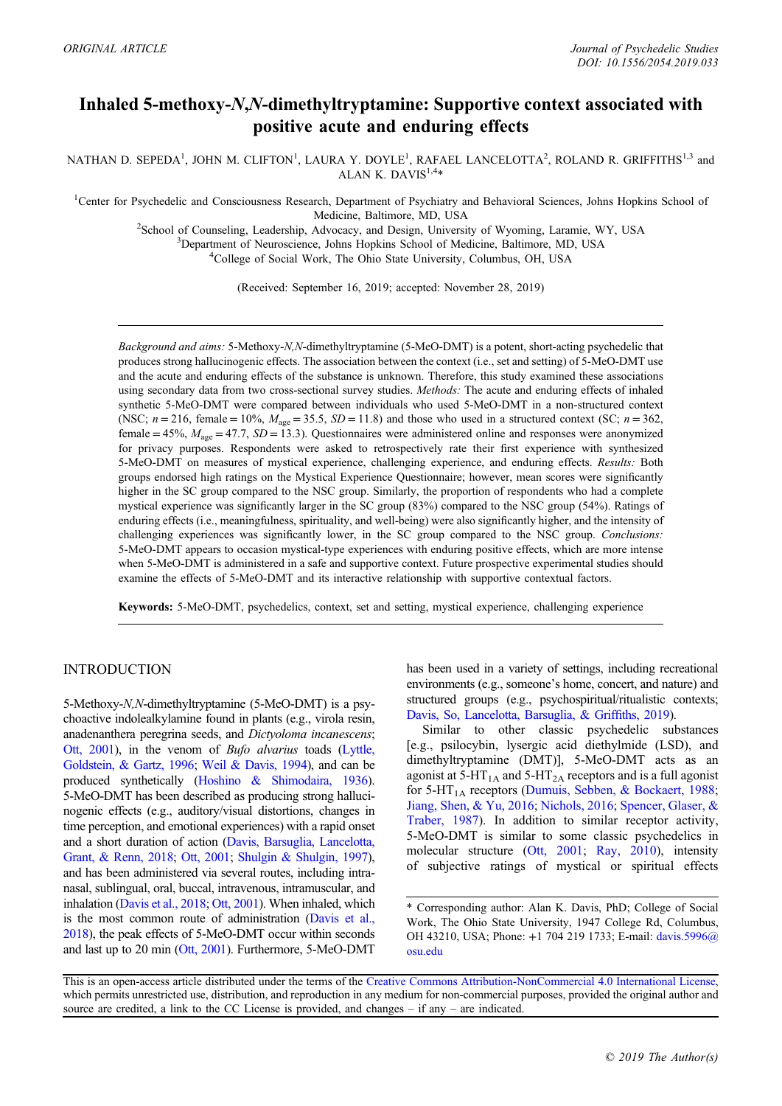# Inhaled 5-methoxy-N,N-dimethyltryptamine: Supportive context associated with positive acute and enduring effects

NATHAN D. SEPEDA<sup>1</sup>, JOHN M. CLIFTON<sup>1</sup>, LAURA Y. DOYLE<sup>1</sup>, RAFAEL LANCELOTTA<sup>2</sup>, ROLAND R. GRIFFITHS<sup>1,3</sup> and ALAN K. DAVIS $1,4*$ 

<sup>1</sup>Center for Psychedelic and Consciousness Research, Department of Psychiatry and Behavioral Sciences, Johns Hopkins School of Medicine, Baltimore, MD, USA<br><sup>2</sup>School of Counseling, Leadership, Advocacy, and Design, Universi

School of Counseling, Leadership, Advocacy, and Design, University of Wyoming, Laramie, WY, USA <sup>3</sup>Department of Neuroscience, Johns Hopkins School of Medicine, Baltimore, MD, USA <sup>4</sup>College of Social Work, The Ohio State University, Columbus, OH, USA

(Received: September 16, 2019; accepted: November 28, 2019)

Background and aims: 5-Methoxy-N,N-dimethyltryptamine (5-MeO-DMT) is a potent, short-acting psychedelic that produces strong hallucinogenic effects. The association between the context (i.e., set and setting) of 5-MeO-DMT use and the acute and enduring effects of the substance is unknown. Therefore, this study examined these associations using secondary data from two cross-sectional survey studies. Methods: The acute and enduring effects of inhaled synthetic 5-MeO-DMT were compared between individuals who used 5-MeO-DMT in a non-structured context (NSC;  $n = 216$ , female = 10%,  $M_{\text{age}} = 35.5$ ,  $SD = 11.8$ ) and those who used in a structured context (SC;  $n = 362$ , female = 45%,  $M_{\text{age}}$  = 47.7,  $SD$  = 13.3). Questionnaires were administered online and responses were anonymized for privacy purposes. Respondents were asked to retrospectively rate their first experience with synthesized 5-MeO-DMT on measures of mystical experience, challenging experience, and enduring effects. Results: Both groups endorsed high ratings on the Mystical Experience Questionnaire; however, mean scores were significantly higher in the SC group compared to the NSC group. Similarly, the proportion of respondents who had a complete mystical experience was significantly larger in the SC group (83%) compared to the NSC group (54%). Ratings of enduring effects (i.e., meaningfulness, spirituality, and well-being) were also significantly higher, and the intensity of challenging experiences was significantly lower, in the SC group compared to the NSC group. Conclusions: 5-MeO-DMT appears to occasion mystical-type experiences with enduring positive effects, which are more intense when 5-MeO-DMT is administered in a safe and supportive context. Future prospective experimental studies should examine the effects of 5-MeO-DMT and its interactive relationship with supportive contextual factors.

Keywords: 5-MeO-DMT, psychedelics, context, set and setting, mystical experience, challenging experience

## INTRODUCTION

5-Methoxy-N,N-dimethyltryptamine (5-MeO-DMT) is a psychoactive indolealkylamine found in plants (e.g., virola resin, anadenanthera peregrina seeds, and Dictyoloma incanescens; [Ott, 2001](#page-8-0)), in the venom of Bufo alvarius toads ([Lyttle,](#page-8-0) [Goldstein, & Gartz, 1996;](#page-8-0) [Weil & Davis, 1994\)](#page-8-0), and can be produced synthetically [\(Hoshino & Shimodaira, 1936](#page-7-0)). 5-MeO-DMT has been described as producing strong hallucinogenic effects (e.g., auditory/visual distortions, changes in time perception, and emotional experiences) with a rapid onset and a short duration of action ([Davis, Barsuglia, Lancelotta,](#page-7-0) [Grant, & Renn, 2018;](#page-7-0) [Ott, 2001](#page-8-0); [Shulgin & Shulgin, 1997](#page-8-0)), and has been administered via several routes, including intranasal, sublingual, oral, buccal, intravenous, intramuscular, and inhalation [\(Davis et al., 2018;](#page-7-0) [Ott, 2001](#page-8-0)). When inhaled, which is the most common route of administration ([Davis et al.,](#page-7-0) [2018](#page-7-0)), the peak effects of 5-MeO-DMT occur within seconds and last up to 20 min [\(Ott, 2001](#page-8-0)). Furthermore, 5-MeO-DMT

has been used in a variety of settings, including recreational environments (e.g., someone's home, concert, and nature) and structured groups (e.g., psychospiritual/ritualistic contexts; [Davis, So, Lancelotta, Barsuglia, & Grif](#page-7-0)fiths, 2019).

Similar to other classic psychedelic substances [e.g., psilocybin, lysergic acid diethylmide (LSD), and dimethyltryptamine (DMT)], 5-MeO-DMT acts as an agonist at  $5-HT_{1A}$  and  $5-HT_{2A}$  receptors and is a full agonist for 5-HT<sub>1A</sub> receptors [\(Dumuis, Sebben, & Bockaert, 1988](#page-7-0); [Jiang, Shen, & Yu, 2016;](#page-7-0) [Nichols, 2016](#page-8-0); [Spencer, Glaser, &](#page-8-0) [Traber, 1987\)](#page-8-0). In addition to similar receptor activity, 5-MeO-DMT is similar to some classic psychedelics in molecular structure ([Ott, 2001](#page-8-0); [Ray, 2010\)](#page-8-0), intensity of subjective ratings of mystical or spiritual effects

<sup>\*</sup> Corresponding author: Alan K. Davis, PhD; College of Social Work, The Ohio State University, 1947 College Rd, Columbus, OH 43210, USA; Phone: +1 704 219 1733; E-mail: [davis.5996@](mailto:davis.5996@osu.edu) [osu.edu](mailto:davis.5996@osu.edu)

This is an open-access article distributed under the terms of the [Creative Commons Attribution-NonCommercial 4.0 International License,](http://creativecommons.org/licenses/by-nc/4.0/) which permits unrestricted use, distribution, and reproduction in any medium for non-commercial purposes, provided the original author and source are credited, a link to the CC License is provided, and changes  $-$  if any  $-$  are indicated.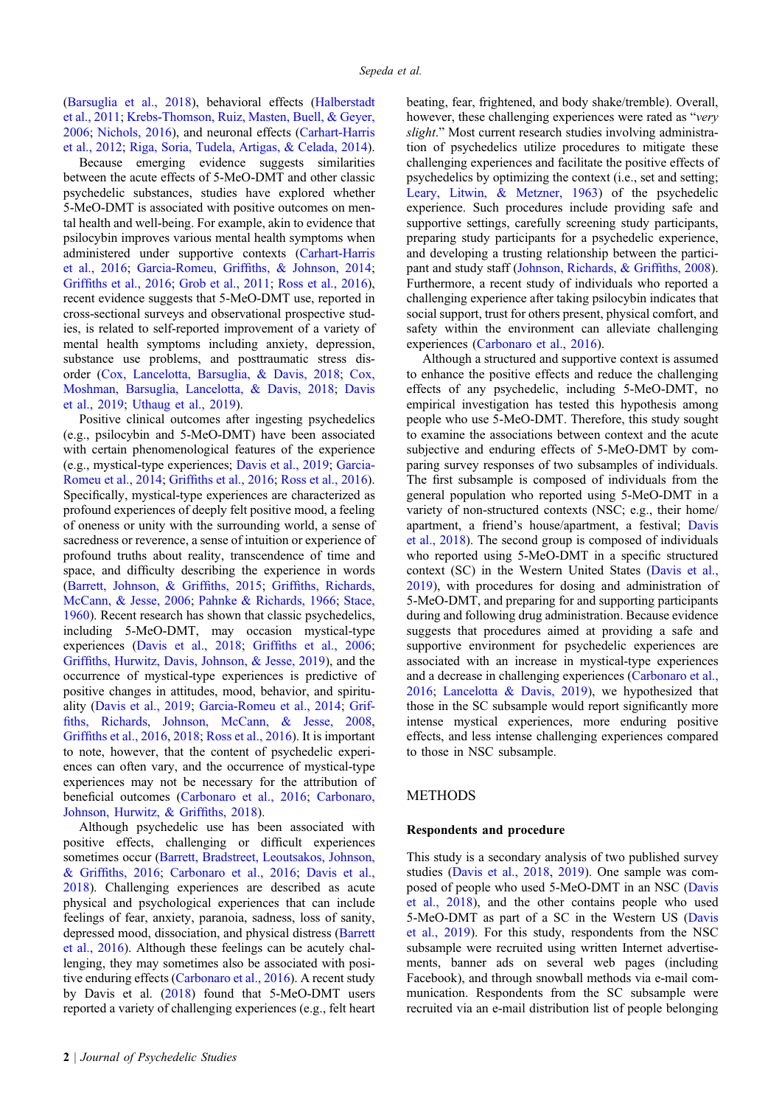[\(Barsuglia et al., 2018\)](#page-6-0), behavioral effects [\(Halberstadt](#page-7-0) [et al., 2011;](#page-7-0) [Krebs-Thomson, Ruiz, Masten, Buell, & Geyer,](#page-8-0) [2006](#page-8-0); [Nichols, 2016\)](#page-8-0), and neuronal effects [\(Carhart-Harris](#page-7-0) [et al., 2012](#page-7-0); [Riga, Soria, Tudela, Artigas, & Celada, 2014\)](#page-8-0).

Because emerging evidence suggests similarities between the acute effects of 5-MeO-DMT and other classic psychedelic substances, studies have explored whether 5-MeO-DMT is associated with positive outcomes on mental health and well-being. For example, akin to evidence that psilocybin improves various mental health symptoms when administered under supportive contexts [\(Carhart-Harris](#page-7-0) [et al., 2016;](#page-7-0) Garcia-Romeu, Griffi[ths, & Johnson, 2014;](#page-7-0) Griffi[ths et al., 2016;](#page-7-0) [Grob et al., 2011;](#page-7-0) [Ross et al., 2016\)](#page-8-0), recent evidence suggests that 5-MeO-DMT use, reported in cross-sectional surveys and observational prospective studies, is related to self-reported improvement of a variety of mental health symptoms including anxiety, depression, substance use problems, and posttraumatic stress disorder [\(Cox, Lancelotta, Barsuglia, & Davis, 2018;](#page-7-0) [Cox,](#page-7-0) [Moshman, Barsuglia, Lancelotta, & Davis, 2018;](#page-7-0) [Davis](#page-7-0) [et al., 2019](#page-7-0); [Uthaug et al., 2019\)](#page-8-0).

Positive clinical outcomes after ingesting psychedelics (e.g., psilocybin and 5-MeO-DMT) have been associated with certain phenomenological features of the experience (e.g., mystical-type experiences; [Davis et al., 2019;](#page-7-0) [Garcia-](#page-7-0)[Romeu et al., 2014;](#page-7-0) Griffi[ths et al., 2016;](#page-7-0) [Ross et al., 2016\)](#page-8-0). Specifically, mystical-type experiences are characterized as profound experiences of deeply felt positive mood, a feeling of oneness or unity with the surrounding world, a sense of sacredness or reverence, a sense of intuition or experience of profound truths about reality, transcendence of time and space, and difficulty describing the experience in words [\(Barrett, Johnson, & Grif](#page-6-0)fiths, 2015; Griffi[ths, Richards,](#page-7-0) [McCann, & Jesse, 2006](#page-7-0); [Pahnke & Richards, 1966;](#page-8-0) [Stace,](#page-8-0) [1960](#page-8-0)). Recent research has shown that classic psychedelics, including 5-MeO-DMT, may occasion mystical-type experiences [\(Davis et al., 2018](#page-7-0); Griffi[ths et al., 2006;](#page-7-0) Griffi[ths, Hurwitz, Davis, Johnson, & Jesse, 2019\)](#page-7-0), and the occurrence of mystical-type experiences is predictive of positive changes in attitudes, mood, behavior, and spirituality [\(Davis et al., 2019](#page-7-0); [Garcia-Romeu et al., 2014;](#page-7-0) [Grif](#page-7-0)fi[ths, Richards, Johnson, McCann, & Jesse, 2008](#page-7-0), Griffi[ths et al., 2016](#page-7-0), [2018](#page-7-0); [Ross et al., 2016](#page-8-0)). It is important to note, however, that the content of psychedelic experiences can often vary, and the occurrence of mystical-type experiences may not be necessary for the attribution of beneficial outcomes ([Carbonaro et al., 2016;](#page-7-0) [Carbonaro,](#page-7-0) [Johnson, Hurwitz, & Grif](#page-7-0)fiths, 2018).

Although psychedelic use has been associated with positive effects, challenging or difficult experiences sometimes occur [\(Barrett, Bradstreet, Leoutsakos, Johnson,](#page-6-0) & Griffi[ths, 2016;](#page-6-0) [Carbonaro et al., 2016;](#page-7-0) [Davis et al.,](#page-7-0) [2018](#page-7-0)). Challenging experiences are described as acute physical and psychological experiences that can include feelings of fear, anxiety, paranoia, sadness, loss of sanity, depressed mood, dissociation, and physical distress [\(Barrett](#page-6-0) [et al., 2016](#page-6-0)). Although these feelings can be acutely challenging, they may sometimes also be associated with positive enduring effects ([Carbonaro et al., 2016\)](#page-7-0). A recent study by Davis et al. ([2018\)](#page-7-0) found that 5-MeO-DMT users reported a variety of challenging experiences (e.g., felt heart beating, fear, frightened, and body shake/tremble). Overall, however, these challenging experiences were rated as "very slight." Most current research studies involving administration of psychedelics utilize procedures to mitigate these challenging experiences and facilitate the positive effects of psychedelics by optimizing the context (i.e., set and setting; [Leary, Litwin, & Metzner, 1963\)](#page-8-0) of the psychedelic experience. Such procedures include providing safe and supportive settings, carefully screening study participants, preparing study participants for a psychedelic experience, and developing a trusting relationship between the participant and study staff [\(Johnson, Richards, & Grif](#page-8-0)fiths, 2008). Furthermore, a recent study of individuals who reported a challenging experience after taking psilocybin indicates that social support, trust for others present, physical comfort, and safety within the environment can alleviate challenging experiences [\(Carbonaro et al., 2016\)](#page-7-0).

Although a structured and supportive context is assumed to enhance the positive effects and reduce the challenging effects of any psychedelic, including 5-MeO-DMT, no empirical investigation has tested this hypothesis among people who use 5-MeO-DMT. Therefore, this study sought to examine the associations between context and the acute subjective and enduring effects of 5-MeO-DMT by comparing survey responses of two subsamples of individuals. The first subsample is composed of individuals from the general population who reported using 5-MeO-DMT in a variety of non-structured contexts (NSC; e.g., their home/ apartment, a friend's house/apartment, a festival; [Davis](#page-7-0) [et al., 2018\)](#page-7-0). The second group is composed of individuals who reported using 5-MeO-DMT in a specific structured context (SC) in the Western United States ([Davis et al.,](#page-7-0) [2019\)](#page-7-0), with procedures for dosing and administration of 5-MeO-DMT, and preparing for and supporting participants during and following drug administration. Because evidence suggests that procedures aimed at providing a safe and supportive environment for psychedelic experiences are associated with an increase in mystical-type experiences and a decrease in challenging experiences [\(Carbonaro et al.,](#page-7-0) [2016;](#page-7-0) [Lancelotta & Davis, 2019](#page-8-0)), we hypothesized that those in the SC subsample would report significantly more intense mystical experiences, more enduring positive effects, and less intense challenging experiences compared to those in NSC subsample.

## METHODS

#### Respondents and procedure

This study is a secondary analysis of two published survey studies [\(Davis et al., 2018,](#page-7-0) [2019](#page-7-0)). One sample was composed of people who used 5-MeO-DMT in an NSC ([Davis](#page-7-0) [et al., 2018](#page-7-0)), and the other contains people who used 5-MeO-DMT as part of a SC in the Western US ([Davis](#page-7-0) [et al., 2019](#page-7-0)). For this study, respondents from the NSC subsample were recruited using written Internet advertisements, banner ads on several web pages (including Facebook), and through snowball methods via e-mail communication. Respondents from the SC subsample were recruited via an e-mail distribution list of people belonging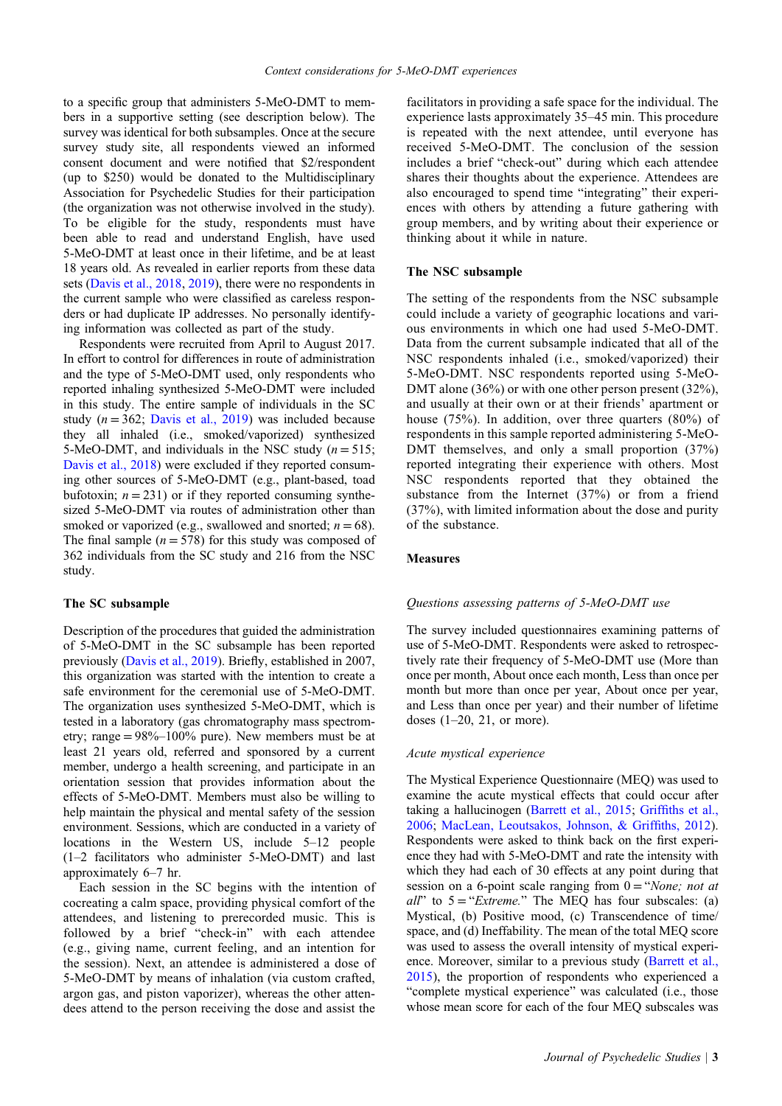to a specific group that administers 5-MeO-DMT to members in a supportive setting (see description below). The survey was identical for both subsamples. Once at the secure survey study site, all respondents viewed an informed consent document and were notified that \$2/respondent (up to \$250) would be donated to the Multidisciplinary Association for Psychedelic Studies for their participation (the organization was not otherwise involved in the study). To be eligible for the study, respondents must have been able to read and understand English, have used 5-MeO-DMT at least once in their lifetime, and be at least 18 years old. As revealed in earlier reports from these data sets ([Davis et al., 2018,](#page-7-0) [2019](#page-7-0)), there were no respondents in the current sample who were classified as careless responders or had duplicate IP addresses. No personally identifying information was collected as part of the study.

Respondents were recruited from April to August 2017. In effort to control for differences in route of administration and the type of 5-MeO-DMT used, only respondents who reported inhaling synthesized 5-MeO-DMT were included in this study. The entire sample of individuals in the SC study ( $n = 362$ ; [Davis et al., 2019](#page-7-0)) was included because they all inhaled (i.e., smoked/vaporized) synthesized 5-MeO-DMT, and individuals in the NSC study ( $n = 515$ ; [Davis et al., 2018](#page-7-0)) were excluded if they reported consuming other sources of 5-MeO-DMT (e.g., plant-based, toad bufotoxin;  $n = 231$ ) or if they reported consuming synthesized 5-MeO-DMT via routes of administration other than smoked or vaporized (e.g., swallowed and snorted;  $n = 68$ ). The final sample  $(n = 578)$  for this study was composed of 362 individuals from the SC study and 216 from the NSC study.

#### The SC subsample

Description of the procedures that guided the administration of 5-MeO-DMT in the SC subsample has been reported previously ([Davis et al., 2019\)](#page-7-0). Briefly, established in 2007, this organization was started with the intention to create a safe environment for the ceremonial use of 5-MeO-DMT. The organization uses synthesized 5-MeO-DMT, which is tested in a laboratory (gas chromatography mass spectrometry; range = 98%–100% pure). New members must be at least 21 years old, referred and sponsored by a current member, undergo a health screening, and participate in an orientation session that provides information about the effects of 5-MeO-DMT. Members must also be willing to help maintain the physical and mental safety of the session environment. Sessions, which are conducted in a variety of locations in the Western US, include 5–12 people (1–2 facilitators who administer 5-MeO-DMT) and last approximately 6–7 hr.

Each session in the SC begins with the intention of cocreating a calm space, providing physical comfort of the attendees, and listening to prerecorded music. This is followed by a brief "check-in" with each attendee (e.g., giving name, current feeling, and an intention for the session). Next, an attendee is administered a dose of 5-MeO-DMT by means of inhalation (via custom crafted, argon gas, and piston vaporizer), whereas the other attendees attend to the person receiving the dose and assist the

facilitators in providing a safe space for the individual. The experience lasts approximately 35–45 min. This procedure is repeated with the next attendee, until everyone has received 5-MeO-DMT. The conclusion of the session includes a brief "check-out" during which each attendee shares their thoughts about the experience. Attendees are also encouraged to spend time "integrating" their experiences with others by attending a future gathering with group members, and by writing about their experience or thinking about it while in nature.

#### The NSC subsample

The setting of the respondents from the NSC subsample could include a variety of geographic locations and various environments in which one had used 5-MeO-DMT. Data from the current subsample indicated that all of the NSC respondents inhaled (i.e., smoked/vaporized) their 5-MeO-DMT. NSC respondents reported using 5-MeO-DMT alone (36%) or with one other person present (32%), and usually at their own or at their friends' apartment or house (75%). In addition, over three quarters (80%) of respondents in this sample reported administering 5-MeO-DMT themselves, and only a small proportion  $(37%)$ reported integrating their experience with others. Most NSC respondents reported that they obtained the substance from the Internet (37%) or from a friend (37%), with limited information about the dose and purity of the substance.

## **Measures**

#### Questions assessing patterns of 5-MeO-DMT use

The survey included questionnaires examining patterns of use of 5-MeO-DMT. Respondents were asked to retrospectively rate their frequency of 5-MeO-DMT use (More than once per month, About once each month, Less than once per month but more than once per year, About once per year, and Less than once per year) and their number of lifetime doses (1–20, 21, or more).

#### Acute mystical experience

The Mystical Experience Questionnaire (MEQ) was used to examine the acute mystical effects that could occur after taking a hallucinogen ([Barrett et al., 2015](#page-6-0); Griffi[ths et al.,](#page-7-0) [2006;](#page-7-0) [MacLean, Leoutsakos, Johnson, & Grif](#page-8-0)fiths, 2012). Respondents were asked to think back on the first experience they had with 5-MeO-DMT and rate the intensity with which they had each of 30 effects at any point during that session on a 6-point scale ranging from  $0 = "None; not at$  $all$ " to  $5 = "Extreme."$  The MEQ has four subscales: (a) Mystical, (b) Positive mood, (c) Transcendence of time/ space, and (d) Ineffability. The mean of the total MEQ score was used to assess the overall intensity of mystical experience. Moreover, similar to a previous study ([Barrett et al.,](#page-6-0) [2015\)](#page-6-0), the proportion of respondents who experienced a "complete mystical experience" was calculated (i.e., those whose mean score for each of the four MEQ subscales was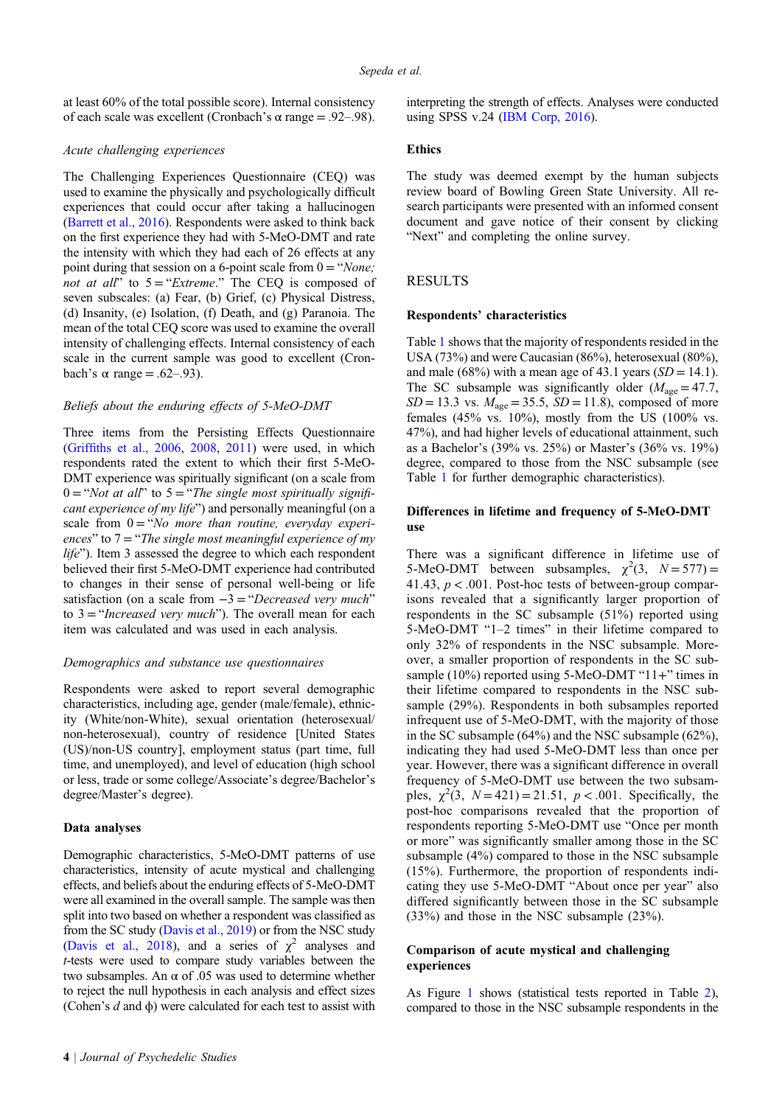at least 60% of the total possible score). Internal consistency of each scale was excellent (Cronbach's α range = .92–.98).

## Acute challenging experiences

The Challenging Experiences Questionnaire (CEQ) was used to examine the physically and psychologically difficult experiences that could occur after taking a hallucinogen [\(Barrett et al., 2016](#page-6-0)). Respondents were asked to think back on the first experience they had with 5-MeO-DMT and rate the intensity with which they had each of 26 effects at any point during that session on a 6-point scale from  $0 = "None;$ not at all" to  $5 = "Extreme."$  The CEQ is composed of seven subscales: (a) Fear, (b) Grief, (c) Physical Distress, (d) Insanity, (e) Isolation, (f) Death, and (g) Paranoia. The mean of the total CEQ score was used to examine the overall intensity of challenging effects. Internal consistency of each scale in the current sample was good to excellent (Cronbach's  $\alpha$  range = .62–.93).

## Beliefs about the enduring effects of 5-MeO-DMT

Three items from the Persisting Effects Questionnaire (Griffi[ths et al., 2006,](#page-7-0) [2008,](#page-7-0) [2011](#page-7-0)) were used, in which respondents rated the extent to which their first 5-MeO-DMT experience was spiritually significant (on a scale from  $0 = "Not at all"$  to  $5 = "The single most spiritually signifi$ cant experience of my life") and personally meaningful (on a scale from  $0 = "No$  more than routine, everyday experiences" to  $7 =$  "The single most meaningful experience of my life"). Item 3 assessed the degree to which each respondent believed their first 5-MeO-DMT experience had contributed to changes in their sense of personal well-being or life satisfaction (on a scale from  $-3 = "Decreased very much"$ to  $3 = "Increasing very much")$ . The overall mean for each item was calculated and was used in each analysis.

#### Demographics and substance use questionnaires

Respondents were asked to report several demographic characteristics, including age, gender (male/female), ethnicity (White/non-White), sexual orientation (heterosexual/ non-heterosexual), country of residence [United States (US)/non-US country], employment status (part time, full time, and unemployed), and level of education (high school or less, trade or some college/Associate's degree/Bachelor's degree/Master's degree).

#### Data analyses

Demographic characteristics, 5-MeO-DMT patterns of use characteristics, intensity of acute mystical and challenging effects, and beliefs about the enduring effects of 5-MeO-DMT were all examined in the overall sample. The sample was then split into two based on whether a respondent was classified as from the SC study [\(Davis et al., 2019\)](#page-7-0) or from the NSC study [\(Davis et al., 2018](#page-7-0)), and a series of  $\chi^2$  analyses and t-tests were used to compare study variables between the two subsamples. An  $\alpha$  of .05 was used to determine whether to reject the null hypothesis in each analysis and effect sizes (Cohen's  $d$  and  $\phi$ ) were calculated for each test to assist with interpreting the strength of effects. Analyses were conducted using SPSS v.24 [\(IBM Corp, 2016\)](#page-7-0).

## Ethics

The study was deemed exempt by the human subjects review board of Bowling Green State University. All research participants were presented with an informed consent document and gave notice of their consent by clicking "Next" and completing the online survey.

## RESULTS

#### Respondents' characteristics

Table [1](#page-4-0) shows that the majority of respondents resided in the USA (73%) and were Caucasian (86%), heterosexual (80%), and male (68%) with a mean age of 43.1 years ( $SD = 14.1$ ). The SC subsample was significantly older ( $M_{\text{age}} = 47.7$ ,  $SD = 13.3$  vs.  $M_{\text{age}} = 35.5$ ,  $SD = 11.8$ ), composed of more females (45% vs. 10%), mostly from the US (100% vs. 47%), and had higher levels of educational attainment, such as a Bachelor's (39% vs. 25%) or Master's (36% vs. 19%) degree, compared to those from the NSC subsample (see Table [1](#page-4-0) for further demographic characteristics).

## Differences in lifetime and frequency of 5-MeO-DMT use

There was a significant difference in lifetime use of 5-MeO-DMT between subsamples,  $\chi^2(3, N = 577)$  = 41.43,  $p < .001$ . Post-hoc tests of between-group comparisons revealed that a significantly larger proportion of respondents in the SC subsample (51%) reported using 5-MeO-DMT "1–2 times" in their lifetime compared to only 32% of respondents in the NSC subsample. Moreover, a smaller proportion of respondents in the SC subsample (10%) reported using 5-MeO-DMT "11+" times in their lifetime compared to respondents in the NSC subsample (29%). Respondents in both subsamples reported infrequent use of 5-MeO-DMT, with the majority of those in the SC subsample (64%) and the NSC subsample (62%), indicating they had used 5-MeO-DMT less than once per year. However, there was a significant difference in overall frequency of 5-MeO-DMT use between the two subsamples,  $\chi^2(3, N=421) = 21.51, p < .001$ . Specifically, the post-hoc comparisons revealed that the proportion of respondents reporting 5-MeO-DMT use "Once per month or more" was significantly smaller among those in the SC subsample (4%) compared to those in the NSC subsample (15%). Furthermore, the proportion of respondents indicating they use 5-MeO-DMT "About once per year" also differed significantly between those in the SC subsample (33%) and those in the NSC subsample (23%).

## Comparison of acute mystical and challenging experiences

As Figure [1](#page-4-0) shows (statistical tests reported in Table [2](#page-5-0)), compared to those in the NSC subsample respondents in the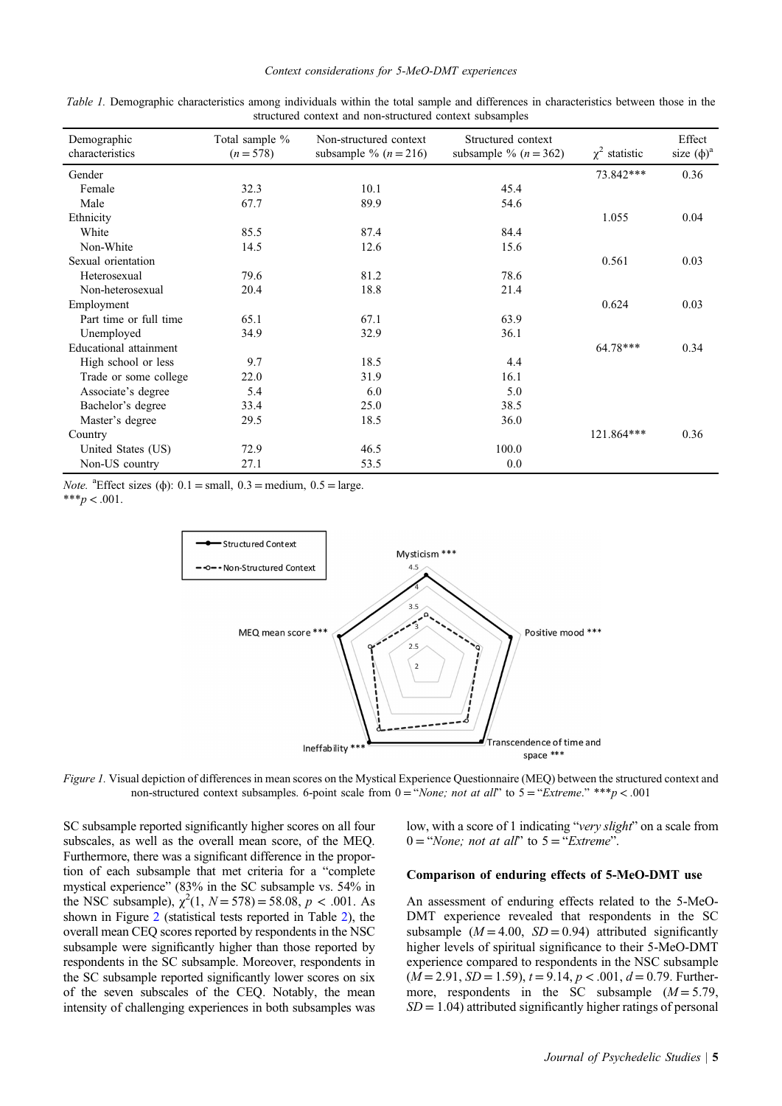| Demographic            | Total sample % | Non-structured context  | Structured context      |                    | Effect          |
|------------------------|----------------|-------------------------|-------------------------|--------------------|-----------------|
| characteristics        | $(n = 578)$    | subsample % $(n = 216)$ | subsample % $(n = 362)$ | $\chi^2$ statistic | size $(\phi)^a$ |
| Gender                 |                |                         |                         | 73.842***          | 0.36            |
| Female                 | 32.3           | 10.1                    | 45.4                    |                    |                 |
| Male                   | 67.7           | 89.9                    | 54.6                    |                    |                 |
| Ethnicity              |                |                         |                         | 1.055              | 0.04            |
| White                  | 85.5           | 87.4                    | 84.4                    |                    |                 |
| Non-White              | 14.5           | 12.6                    | 15.6                    |                    |                 |
| Sexual orientation     |                |                         |                         | 0.561              | 0.03            |
| Heterosexual           | 79.6           | 81.2                    | 78.6                    |                    |                 |
| Non-heterosexual       | 20.4           | 18.8                    | 21.4                    |                    |                 |
| Employment             |                |                         |                         | 0.624              | 0.03            |
| Part time or full time | 65.1           | 67.1                    | 63.9                    |                    |                 |
| Unemployed             | 34.9           | 32.9                    | 36.1                    |                    |                 |
| Educational attainment |                |                         |                         | 64.78***           | 0.34            |
| High school or less    | 9.7            | 18.5                    | 4.4                     |                    |                 |
| Trade or some college  | 22.0           | 31.9                    | 16.1                    |                    |                 |
| Associate's degree     | 5.4            | 6.0                     | 5.0                     |                    |                 |
| Bachelor's degree      | 33.4           | 25.0                    | 38.5                    |                    |                 |
| Master's degree        | 29.5           | 18.5                    | 36.0                    |                    |                 |
| Country                |                |                         |                         | 121.864***         | 0.36            |
| United States (US)     | 72.9           | 46.5                    | 100.0                   |                    |                 |
| Non-US country         | 27.1           | 53.5                    | 0.0                     |                    |                 |

<span id="page-4-0"></span>Table 1. Demographic characteristics among individuals within the total sample and differences in characteristics between those in the structured context and non-structured context subsamples

*Note.* <sup>a</sup>Effect sizes ( $\phi$ ): 0.1 = small, 0.3 = medium, 0.5 = large.

\*\*\* $p < .001$ .



Figure 1. Visual depiction of differences in mean scores on the Mystical Experience Questionnaire (MEQ) between the structured context and non-structured context subsamples. 6-point scale from  $0 = "None; not at all"$  to  $5 = "Extreme." **p < .001$ 

SC subsample reported significantly higher scores on all four subscales, as well as the overall mean score, of the MEQ. Furthermore, there was a significant difference in the proportion of each subsample that met criteria for a "complete mystical experience" (83% in the SC subsample vs. 54% in the NSC subsample),  $\chi^2(1, N = 578) = 58.08$ ,  $p < .001$ . As shown in Figure [2](#page-5-0) (statistical tests reported in Table [2\)](#page-5-0), the overall mean CEQ scores reported by respondents in the NSC subsample were significantly higher than those reported by respondents in the SC subsample. Moreover, respondents in the SC subsample reported significantly lower scores on six of the seven subscales of the CEQ. Notably, the mean intensity of challenging experiences in both subsamples was low, with a score of 1 indicating "very slight" on a scale from  $0 = "None; not at all" to 5 = "Extreme".$ 

## Comparison of enduring effects of 5-MeO-DMT use

An assessment of enduring effects related to the 5-MeO-DMT experience revealed that respondents in the SC subsample  $(M = 4.00, SD = 0.94)$  attributed significantly higher levels of spiritual significance to their 5-MeO-DMT experience compared to respondents in the NSC subsample  $(M = 2.91, SD = 1.59), t = 9.14, p < .001, d = 0.79$ . Furthermore, respondents in the SC subsample  $(M = 5.79)$ ,  $SD = 1.04$ ) attributed significantly higher ratings of personal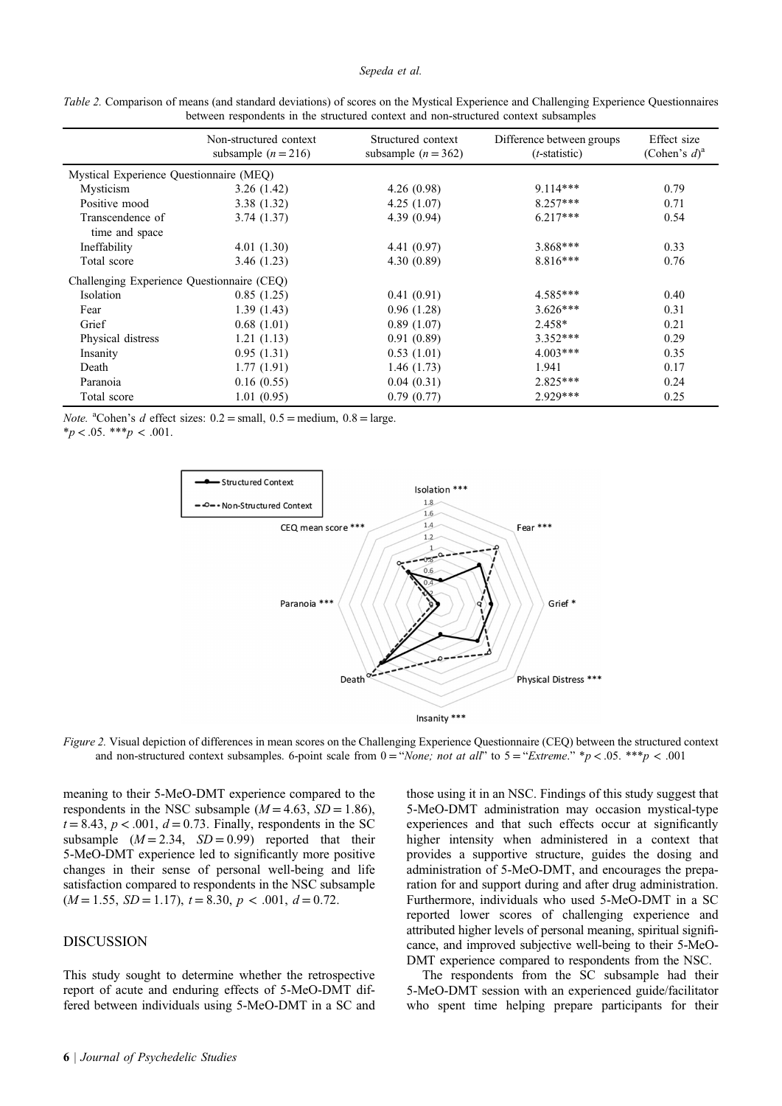#### Sepeda et al.

| between respondents in the structured context and non-structured context subsamples |                                                 |                                             |                                                     |                                            |  |  |
|-------------------------------------------------------------------------------------|-------------------------------------------------|---------------------------------------------|-----------------------------------------------------|--------------------------------------------|--|--|
|                                                                                     | Non-structured context<br>subsample $(n = 216)$ | Structured context<br>subsample $(n = 362)$ | Difference between groups<br>$(t\text{-statistic})$ | Effect size<br>(Cohen's $d$ ) <sup>a</sup> |  |  |
| Mystical Experience Questionnaire (MEQ)                                             |                                                 |                                             |                                                     |                                            |  |  |
| Mysticism                                                                           | 3.26(1.42)                                      | 4.26(0.98)                                  | $9.114***$                                          | 0.79                                       |  |  |
| Positive mood                                                                       | 3.38(1.32)                                      | 4.25(1.07)                                  | $8.257***$                                          | 0.71                                       |  |  |
| Transcendence of<br>time and space                                                  | 3.74(1.37)                                      | 4.39(0.94)                                  | $6.217***$                                          | 0.54                                       |  |  |
| Ineffability                                                                        | 4.01(1.30)                                      | 4.41(0.97)                                  | $3.868***$                                          | 0.33                                       |  |  |
| Total score                                                                         | 3.46 (1.23)                                     | 4.30(0.89)                                  | $8.816***$                                          | 0.76                                       |  |  |
| Challenging Experience Questionnaire (CEQ)                                          |                                                 |                                             |                                                     |                                            |  |  |
| Isolation                                                                           | 0.85(1.25)                                      | 0.41(0.91)                                  | $4.585***$                                          | 0.40                                       |  |  |
| Fear                                                                                | 1.39(1.43)                                      | 0.96(1.28)                                  | $3.626***$                                          | 0.31                                       |  |  |
| Grief                                                                               | 0.68(1.01)                                      | 0.89(1.07)                                  | 2.458*                                              | 0.21                                       |  |  |
| Physical distress                                                                   | 1.21(1.13)                                      | 0.91(0.89)                                  | $3.352***$                                          | 0.29                                       |  |  |
| Insanity                                                                            | 0.95(1.31)                                      | 0.53(1.01)                                  | $4.003***$                                          | 0.35                                       |  |  |
| Death                                                                               | 1.77(1.91)                                      | 1.46(1.73)                                  | 1.941                                               | 0.17                                       |  |  |
| Paranoia                                                                            | 0.16(0.55)                                      | 0.04(0.31)                                  | $2.825***$                                          | 0.24                                       |  |  |

Total score 1.01 (0.95) 0.79 (0.77) 2.929\*\*\* 0.25

<span id="page-5-0"></span>Table 2. Comparison of means (and standard deviations) of scores on the Mystical Experience and Challenging Experience Questionnaires between respondents in the structured context and non-structured context subsamples

*Note.* <sup>a</sup>Cohen's *d* effect sizes:  $0.2 = \text{small}, 0.5 = \text{medium}, 0.8 = \text{large}.$ 

 $**p* < .05.$  \*\*\* $$ 



Figure 2. Visual depiction of differences in mean scores on the Challenging Experience Questionnaire (CEQ) between the structured context and non-structured context subsamples. 6-point scale from  $0 = \alpha$  and  $\alpha$  all  $\alpha$  to  $5 = \alpha$  Extreme." \*p < .05. \*\*\*p < .001

meaning to their 5-MeO-DMT experience compared to the respondents in the NSC subsample ( $M = 4.63$ ,  $SD = 1.86$ ),  $t = 8.43$ ,  $p < .001$ ,  $d = 0.73$ . Finally, respondents in the SC subsample  $(M = 2.34, SD = 0.99)$  reported that their 5-MeO-DMT experience led to significantly more positive changes in their sense of personal well-being and life satisfaction compared to respondents in the NSC subsample  $(M = 1.55, SD = 1.17), t = 8.30, p < .001, d = 0.72.$ 

# DISCUSSION

This study sought to determine whether the retrospective report of acute and enduring effects of 5-MeO-DMT differed between individuals using 5-MeO-DMT in a SC and

those using it in an NSC. Findings of this study suggest that 5-MeO-DMT administration may occasion mystical-type experiences and that such effects occur at significantly higher intensity when administered in a context that provides a supportive structure, guides the dosing and administration of 5-MeO-DMT, and encourages the preparation for and support during and after drug administration. Furthermore, individuals who used 5-MeO-DMT in a SC reported lower scores of challenging experience and attributed higher levels of personal meaning, spiritual significance, and improved subjective well-being to their 5-MeO-DMT experience compared to respondents from the NSC.

The respondents from the SC subsample had their 5-MeO-DMT session with an experienced guide/facilitator who spent time helping prepare participants for their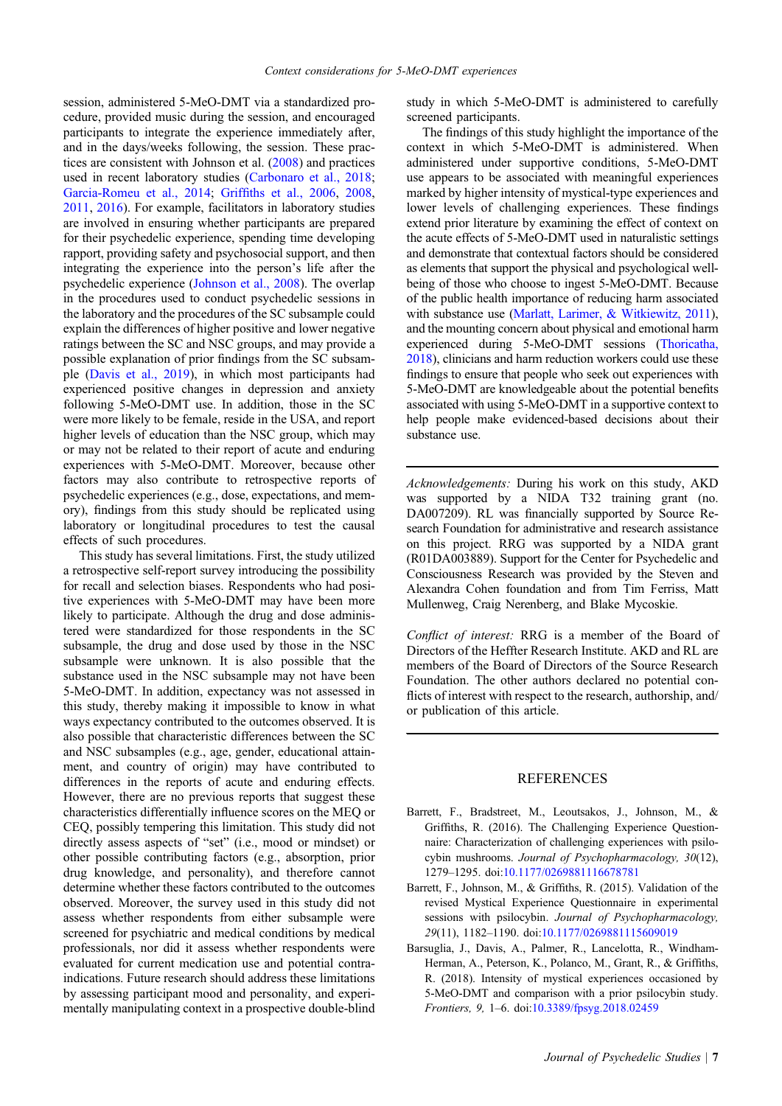<span id="page-6-0"></span>session, administered 5-MeO-DMT via a standardized procedure, provided music during the session, and encouraged participants to integrate the experience immediately after, and in the days/weeks following, the session. These practices are consistent with Johnson et al. [\(2008](#page-8-0)) and practices used in recent laboratory studies ([Carbonaro et al., 2018;](#page-7-0) [Garcia-Romeu et al., 2014](#page-7-0); Griffi[ths et al., 2006,](#page-7-0) [2008](#page-7-0), [2011](#page-7-0), [2016\)](#page-7-0). For example, facilitators in laboratory studies are involved in ensuring whether participants are prepared for their psychedelic experience, spending time developing rapport, providing safety and psychosocial support, and then integrating the experience into the person's life after the psychedelic experience [\(Johnson et al., 2008\)](#page-8-0). The overlap in the procedures used to conduct psychedelic sessions in the laboratory and the procedures of the SC subsample could explain the differences of higher positive and lower negative ratings between the SC and NSC groups, and may provide a possible explanation of prior findings from the SC subsample [\(Davis et al., 2019\)](#page-7-0), in which most participants had experienced positive changes in depression and anxiety following 5-MeO-DMT use. In addition, those in the SC were more likely to be female, reside in the USA, and report higher levels of education than the NSC group, which may or may not be related to their report of acute and enduring experiences with 5-MeO-DMT. Moreover, because other factors may also contribute to retrospective reports of psychedelic experiences (e.g., dose, expectations, and memory), findings from this study should be replicated using laboratory or longitudinal procedures to test the causal effects of such procedures.

This study has several limitations. First, the study utilized a retrospective self-report survey introducing the possibility for recall and selection biases. Respondents who had positive experiences with 5-MeO-DMT may have been more likely to participate. Although the drug and dose administered were standardized for those respondents in the SC subsample, the drug and dose used by those in the NSC subsample were unknown. It is also possible that the substance used in the NSC subsample may not have been 5-MeO-DMT. In addition, expectancy was not assessed in this study, thereby making it impossible to know in what ways expectancy contributed to the outcomes observed. It is also possible that characteristic differences between the SC and NSC subsamples (e.g., age, gender, educational attainment, and country of origin) may have contributed to differences in the reports of acute and enduring effects. However, there are no previous reports that suggest these characteristics differentially influence scores on the MEQ or CEQ, possibly tempering this limitation. This study did not directly assess aspects of "set" (i.e., mood or mindset) or other possible contributing factors (e.g., absorption, prior drug knowledge, and personality), and therefore cannot determine whether these factors contributed to the outcomes observed. Moreover, the survey used in this study did not assess whether respondents from either subsample were screened for psychiatric and medical conditions by medical professionals, nor did it assess whether respondents were evaluated for current medication use and potential contraindications. Future research should address these limitations by assessing participant mood and personality, and experimentally manipulating context in a prospective double-blind

study in which 5-MeO-DMT is administered to carefully screened participants.

The findings of this study highlight the importance of the context in which 5-MeO-DMT is administered. When administered under supportive conditions, 5-MeO-DMT use appears to be associated with meaningful experiences marked by higher intensity of mystical-type experiences and lower levels of challenging experiences. These findings extend prior literature by examining the effect of context on the acute effects of 5-MeO-DMT used in naturalistic settings and demonstrate that contextual factors should be considered as elements that support the physical and psychological wellbeing of those who choose to ingest 5-MeO-DMT. Because of the public health importance of reducing harm associated with substance use [\(Marlatt, Larimer, & Witkiewitz, 2011](#page-8-0)), and the mounting concern about physical and emotional harm experienced during 5-MeO-DMT sessions ([Thoricatha,](#page-8-0) [2018](#page-8-0)), clinicians and harm reduction workers could use these findings to ensure that people who seek out experiences with 5-MeO-DMT are knowledgeable about the potential benefits associated with using 5-MeO-DMT in a supportive context to help people make evidenced-based decisions about their substance use.

Acknowledgements: During his work on this study, AKD was supported by a NIDA T32 training grant (no. DA007209). RL was financially supported by Source Research Foundation for administrative and research assistance on this project. RRG was supported by a NIDA grant (R01DA003889). Support for the Center for Psychedelic and Consciousness Research was provided by the Steven and Alexandra Cohen foundation and from Tim Ferriss, Matt Mullenweg, Craig Nerenberg, and Blake Mycoskie.

Conflict of interest: RRG is a member of the Board of Directors of the Heffter Research Institute. AKD and RL are members of the Board of Directors of the Source Research Foundation. The other authors declared no potential conflicts of interest with respect to the research, authorship, and/ or publication of this article.

#### REFERENCES

- Barrett, F., Bradstreet, M., Leoutsakos, J., Johnson, M., & Griffiths, R. (2016). The Challenging Experience Questionnaire: Characterization of challenging experiences with psilocybin mushrooms. Journal of Psychopharmacology, 30(12), 1279–1295. doi[:10.1177/0269881116678781](http://dx.doi.org/10.1177/0269881116678781)
- Barrett, F., Johnson, M., & Griffiths, R. (2015). Validation of the revised Mystical Experience Questionnaire in experimental sessions with psilocybin. Journal of Psychopharmacology, 29(11), 1182–1190. doi[:10.1177/0269881115609019](http://dx.doi.org/10.1177/0269881115609019)
- Barsuglia, J., Davis, A., Palmer, R., Lancelotta, R., Windham-Herman, A., Peterson, K., Polanco, M., Grant, R., & Griffiths, R. (2018). Intensity of mystical experiences occasioned by 5-MeO-DMT and comparison with a prior psilocybin study. Frontiers, 9, 1–6. doi[:10.3389/fpsyg.2018.02459](http://dx.doi.org/10.3389/fpsyg.2018.02459)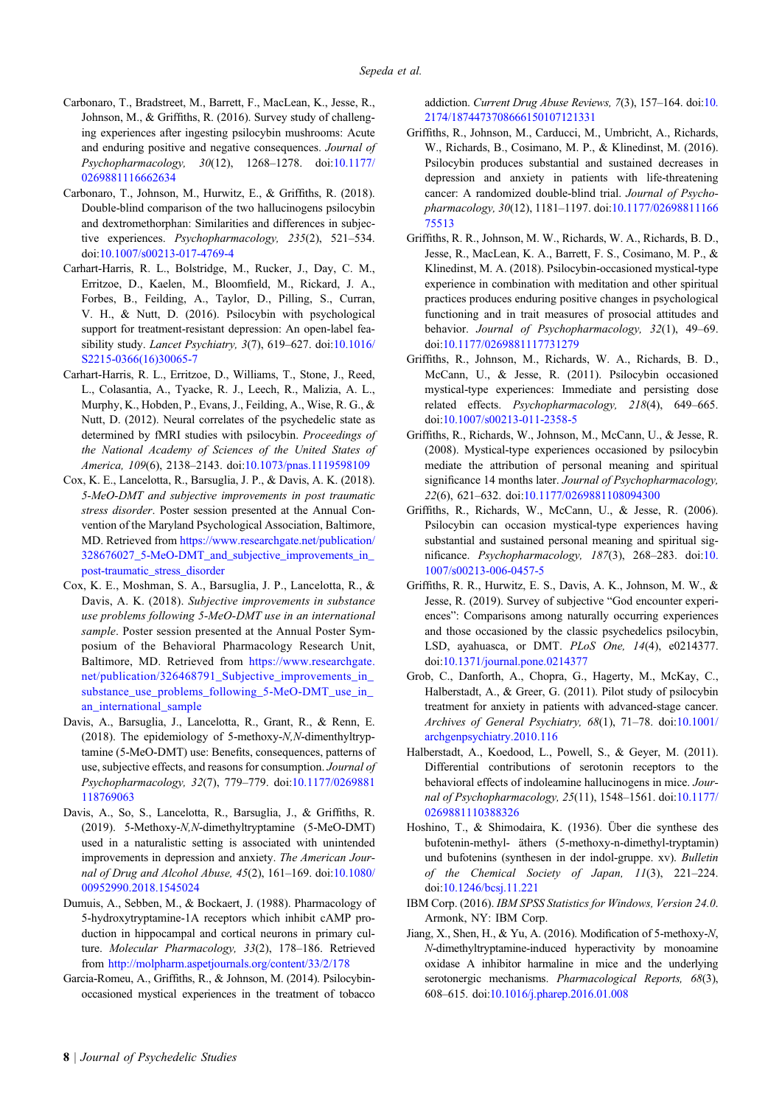- <span id="page-7-0"></span>Carbonaro, T., Bradstreet, M., Barrett, F., MacLean, K., Jesse, R., Johnson, M., & Griffiths, R. (2016). Survey study of challenging experiences after ingesting psilocybin mushrooms: Acute and enduring positive and negative consequences. Journal of Psychopharmacology, 30(12), 1268–1278. doi:[10.1177/](http://dx.doi.org/10.1177/0269881116662634) [0269881116662634](http://dx.doi.org/10.1177/0269881116662634)
- Carbonaro, T., Johnson, M., Hurwitz, E., & Griffiths, R. (2018). Double-blind comparison of the two hallucinogens psilocybin and dextromethorphan: Similarities and differences in subjective experiences. Psychopharmacology, 235(2), 521–534. doi:[10.1007/s00213-017-4769-4](http://dx.doi.org/10.1007/s00213-017-4769-4)
- Carhart-Harris, R. L., Bolstridge, M., Rucker, J., Day, C. M., Erritzoe, D., Kaelen, M., Bloomfield, M., Rickard, J. A., Forbes, B., Feilding, A., Taylor, D., Pilling, S., Curran, V. H., & Nutt, D. (2016). Psilocybin with psychological support for treatment-resistant depression: An open-label feasibility study. Lancet Psychiatry, 3(7), 619–627. doi:[10.1016/](http://dx.doi.org/10.1016/S2215-0366(16)30065-7) [S2215-0366\(16\)30065-7](http://dx.doi.org/10.1016/S2215-0366(16)30065-7)
- Carhart-Harris, R. L., Erritzoe, D., Williams, T., Stone, J., Reed, L., Colasantia, A., Tyacke, R. J., Leech, R., Malizia, A. L., Murphy, K., Hobden, P., Evans, J., Feilding, A., Wise, R. G., & Nutt, D. (2012). Neural correlates of the psychedelic state as determined by fMRI studies with psilocybin. Proceedings of the National Academy of Sciences of the United States of America, 109(6), 2138–2143. doi:[10.1073/pnas.1119598109](http://dx.doi.org/10.1073/pnas.1119598109)
- Cox, K. E., Lancelotta, R., Barsuglia, J. P., & Davis, A. K. (2018). 5-MeO-DMT and subjective improvements in post traumatic stress disorder. Poster session presented at the Annual Convention of the Maryland Psychological Association, Baltimore, MD. Retrieved from [https://www.researchgate.net/publication/](https://www.researchgate.net/publication/328676027_5-MeO-DMT_and_subjective_improvements_in_post-traumatic_stress_disorder) [328676027\\_5-MeO-DMT\\_and\\_subjective\\_improvements\\_in\\_](https://www.researchgate.net/publication/328676027_5-MeO-DMT_and_subjective_improvements_in_post-traumatic_stress_disorder) [post-traumatic\\_stress\\_disorder](https://www.researchgate.net/publication/328676027_5-MeO-DMT_and_subjective_improvements_in_post-traumatic_stress_disorder)
- Cox, K. E., Moshman, S. A., Barsuglia, J. P., Lancelotta, R., & Davis, A. K. (2018). Subjective improvements in substance use problems following 5-MeO-DMT use in an international sample. Poster session presented at the Annual Poster Symposium of the Behavioral Pharmacology Research Unit, Baltimore, MD. Retrieved from [https://www.researchgate.](https://www.researchgate.net/publication/326468791_Subjective_improvements_in_substance_use_problems_following_5-MeO-DMT_use_in_an_international_sample) [net/publication/326468791\\_Subjective\\_improvements\\_in\\_](https://www.researchgate.net/publication/326468791_Subjective_improvements_in_substance_use_problems_following_5-MeO-DMT_use_in_an_international_sample) [substance\\_use\\_problems\\_following\\_5-MeO-DMT\\_use\\_in\\_](https://www.researchgate.net/publication/326468791_Subjective_improvements_in_substance_use_problems_following_5-MeO-DMT_use_in_an_international_sample) [an\\_international\\_sample](https://www.researchgate.net/publication/326468791_Subjective_improvements_in_substance_use_problems_following_5-MeO-DMT_use_in_an_international_sample)
- Davis, A., Barsuglia, J., Lancelotta, R., Grant, R., & Renn, E. (2018). The epidemiology of 5-methoxy-N,N-dimenthyltryptamine (5-MeO-DMT) use: Benefits, consequences, patterns of use, subjective effects, and reasons for consumption. Journal of Psychopharmacology, 32(7), 779–779. doi:[10.1177/0269881](http://dx.doi.org/10.1177/0269881118769063) [118769063](http://dx.doi.org/10.1177/0269881118769063)
- Davis, A., So, S., Lancelotta, R., Barsuglia, J., & Griffiths, R. (2019). 5-Methoxy-N,N-dimethyltryptamine (5-MeO-DMT) used in a naturalistic setting is associated with unintended improvements in depression and anxiety. The American Journal of Drug and Alcohol Abuse, 45(2), 161–169. doi:[10.1080/](http://dx.doi.org/10.1080/00952990.2018.1545024) [00952990.2018.1545024](http://dx.doi.org/10.1080/00952990.2018.1545024)
- Dumuis, A., Sebben, M., & Bockaert, J. (1988). Pharmacology of 5-hydroxytryptamine-1A receptors which inhibit cAMP production in hippocampal and cortical neurons in primary culture. Molecular Pharmacology, 33(2), 178–186. Retrieved from <http://molpharm.aspetjournals.org/content/33/2/178>
- Garcia-Romeu, A., Griffiths, R., & Johnson, M. (2014). Psilocybinoccasioned mystical experiences in the treatment of tobacco

addiction. Current Drug Abuse Reviews, 7(3), 157–164. doi[:10.](http://dx.doi.org/10.2174/1874473708666150107121331) [2174/1874473708666150107121331](http://dx.doi.org/10.2174/1874473708666150107121331)

- Griffiths, R., Johnson, M., Carducci, M., Umbricht, A., Richards, W., Richards, B., Cosimano, M. P., & Klinedinst, M. (2016). Psilocybin produces substantial and sustained decreases in depression and anxiety in patients with life-threatening cancer: A randomized double-blind trial. Journal of Psychopharmacology, 30(12), 1181–1197. doi:[10.1177/02698811166](http://dx.doi.org/10.1177/0269881116675513) [75513](http://dx.doi.org/10.1177/0269881116675513)
- Griffiths, R. R., Johnson, M. W., Richards, W. A., Richards, B. D., Jesse, R., MacLean, K. A., Barrett, F. S., Cosimano, M. P., & Klinedinst, M. A. (2018). Psilocybin-occasioned mystical-type experience in combination with meditation and other spiritual practices produces enduring positive changes in psychological functioning and in trait measures of prosocial attitudes and behavior. Journal of Psychopharmacology, 32(1), 49–69. doi[:10.1177/0269881117731279](http://dx.doi.org/10.1177/0269881117731279)
- Griffiths, R., Johnson, M., Richards, W. A., Richards, B. D., McCann, U., & Jesse, R. (2011). Psilocybin occasioned mystical-type experiences: Immediate and persisting dose related effects. Psychopharmacology, 218(4), 649–665. doi[:10.1007/s00213-011-2358-5](http://dx.doi.org/10.1007/s00213-011-2358-5)
- Griffiths, R., Richards, W., Johnson, M., McCann, U., & Jesse, R. (2008). Mystical-type experiences occasioned by psilocybin mediate the attribution of personal meaning and spiritual significance 14 months later. Journal of Psychopharmacology, 22(6), 621–632. doi:[10.1177/0269881108094300](http://dx.doi.org/10.1177/0269881108094300)
- Griffiths, R., Richards, W., McCann, U., & Jesse, R. (2006). Psilocybin can occasion mystical-type experiences having substantial and sustained personal meaning and spiritual significance. Psychopharmacology, 187(3), 268–283. doi:[10.](http://dx.doi.org/10.1007/s00213-006-0457-5) [1007/s00213-006-0457-5](http://dx.doi.org/10.1007/s00213-006-0457-5)
- Griffiths, R. R., Hurwitz, E. S., Davis, A. K., Johnson, M. W., & Jesse, R. (2019). Survey of subjective "God encounter experiences": Comparisons among naturally occurring experiences and those occasioned by the classic psychedelics psilocybin, LSD, ayahuasca, or DMT. PLoS One, 14(4), e0214377. doi[:10.1371/journal.pone.0214377](http://dx.doi.org/10.1371/journal.pone.0214377)
- Grob, C., Danforth, A., Chopra, G., Hagerty, M., McKay, C., Halberstadt, A., & Greer, G. (2011). Pilot study of psilocybin treatment for anxiety in patients with advanced-stage cancer. Archives of General Psychiatry, 68(1), 71–78. doi[:10.1001/](http://dx.doi.org/10.1001/archgenpsychiatry.2010.116) [archgenpsychiatry.2010.116](http://dx.doi.org/10.1001/archgenpsychiatry.2010.116)
- Halberstadt, A., Koedood, L., Powell, S., & Geyer, M. (2011). Differential contributions of serotonin receptors to the behavioral effects of indoleamine hallucinogens in mice. Journal of Psychopharmacology, 25(11), 1548–1561. doi[:10.1177/](http://dx.doi.org/10.1177/0269881110388326) [0269881110388326](http://dx.doi.org/10.1177/0269881110388326)
- Hoshino, T., & Shimodaira, K. (1936). Über die synthese des bufotenin-methyl- äthers (5-methoxy-n-dimethyl-tryptamin) und bufotenins (synthesen in der indol-gruppe. xv). Bulletin of the Chemical Society of Japan, 11(3), 221–224. doi[:10.1246/bcsj.11.221](http://dx.doi.org/10.1246/bcsj.11.221)
- IBM Corp. (2016). IBM SPSS Statistics for Windows, Version 24.0. Armonk, NY: IBM Corp.
- Jiang, X., Shen, H., & Yu, A. (2016). Modification of 5-methoxy-N, N-dimethyltryptamine-induced hyperactivity by monoamine oxidase A inhibitor harmaline in mice and the underlying serotonergic mechanisms. Pharmacological Reports, 68(3), 608–615. doi[:10.1016/j.pharep.2016.01.008](http://dx.doi.org/10.1016/j.pharep.2016.01.008)